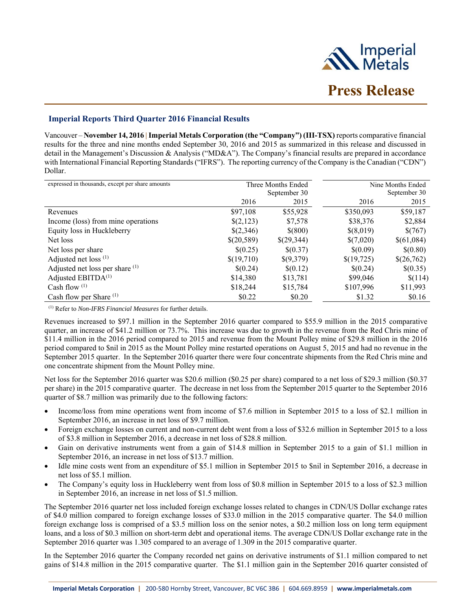

# **Imperial Reports Third Quarter 2016 Financial Results**

Vancouver – **November 14, 2016 | Imperial Metals Corporation (the "Company") (III-TSX)** reports comparative financial results for the three and nine months ended September 30, 2016 and 2015 as summarized in this release and discussed in detail in the Management's Discussion & Analysis ("MD&A"). The Company's financial results are prepared in accordance with International Financial Reporting Standards ("IFRS"). The reporting currency of the Company is the Canadian ("CDN") Dollar.

| expressed in thousands, except per share amounts |            | Three Months Ended |            | Nine Months Ended |
|--------------------------------------------------|------------|--------------------|------------|-------------------|
|                                                  |            | September 30       |            | September 30      |
|                                                  | 2016       | 2015               | 2016       | 2015              |
| Revenues                                         | \$97,108   | \$55,928           | \$350,093  | \$59,187          |
| Income (loss) from mine operations               | \$(2,123)  | \$7,578            | \$38,376   | \$2,884           |
| Equity loss in Huckleberry                       | \$(2,346)  | \$(800)            | \$(8,019)  | \$(767)           |
| Net loss                                         | \$(20,589) | \$(29,344)         | \$(7,020)  | \$(61,084)        |
| Net loss per share                               | \$(0.25)   | \$(0.37)           | \$(0.09)   | \$(0.80)          |
| Adjusted net loss $(1)$                          | \$(19,710) | \$(9,379)          | \$(19,725) | \$(26,762)        |
| Adjusted net loss per share (1)                  | \$(0.24)   | \$(0.12)           | \$(0.24)   | \$(0.35)          |
| Adjusted EBITDA <sup>(1)</sup>                   | \$14,380   | \$13,781           | \$99,046   | \$(114)           |
| Cash flow $(1)$                                  | \$18,244   | \$15,784           | \$107,996  | \$11,993          |
| Cash flow per Share <sup>(1)</sup>               | \$0.22     | \$0.20             | \$1.32     | \$0.16            |

(1) Refer to *Non-IFRS Financial Measures* for further details.

Revenues increased to \$97.1 million in the September 2016 quarter compared to \$55.9 million in the 2015 comparative quarter, an increase of \$41.2 million or 73.7%. This increase was due to growth in the revenue from the Red Chris mine of \$11.4 million in the 2016 period compared to 2015 and revenue from the Mount Polley mine of \$29.8 million in the 2016 period compared to \$nil in 2015 as the Mount Polley mine restarted operations on August 5, 2015 and had no revenue in the September 2015 quarter. In the September 2016 quarter there were four concentrate shipments from the Red Chris mine and one concentrate shipment from the Mount Polley mine.

Net loss for the September 2016 quarter was \$20.6 million (\$0.25 per share) compared to a net loss of \$29.3 million (\$0.37 per share) in the 2015 comparative quarter. The decrease in net loss from the September 2015 quarter to the September 2016 quarter of \$8.7 million was primarily due to the following factors:

- Income/loss from mine operations went from income of \$7.6 million in September 2015 to a loss of \$2.1 million in September 2016, an increase in net loss of \$9.7 million.
- Foreign exchange losses on current and non-current debt went from a loss of \$32.6 million in September 2015 to a loss of \$3.8 million in September 2016, a decrease in net loss of \$28.8 million.
- Gain on derivative instruments went from a gain of \$14.8 million in September 2015 to a gain of \$1.1 million in September 2016, an increase in net loss of \$13.7 million.
- Idle mine costs went from an expenditure of \$5.1 million in September 2015 to \$nil in September 2016, a decrease in net loss of \$5.1 million.
- The Company's equity loss in Huckleberry went from loss of \$0.8 million in September 2015 to a loss of \$2.3 million in September 2016, an increase in net loss of \$1.5 million.

The September 2016 quarter net loss included foreign exchange losses related to changes in CDN/US Dollar exchange rates of \$4.0 million compared to foreign exchange losses of \$33.0 million in the 2015 comparative quarter. The \$4.0 million foreign exchange loss is comprised of a \$3.5 million loss on the senior notes, a \$0.2 million loss on long term equipment loans, and a loss of \$0.3 million on short-term debt and operational items. The average CDN/US Dollar exchange rate in the September 2016 quarter was 1.305 compared to an average of 1.309 in the 2015 comparative quarter.

In the September 2016 quarter the Company recorded net gains on derivative instruments of \$1.1 million compared to net gains of \$14.8 million in the 2015 comparative quarter. The \$1.1 million gain in the September 2016 quarter consisted of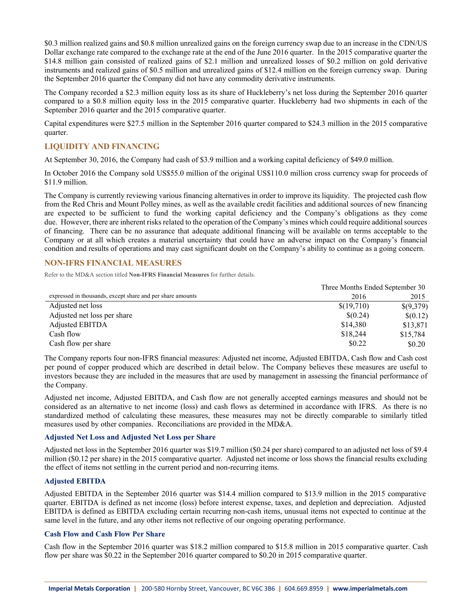\$0.3 million realized gains and \$0.8 million unrealized gains on the foreign currency swap due to an increase in the CDN/US Dollar exchange rate compared to the exchange rate at the end of the June 2016 quarter. In the 2015 comparative quarter the \$14.8 million gain consisted of realized gains of \$2.1 million and unrealized losses of \$0.2 million on gold derivative instruments and realized gains of \$0.5 million and unrealized gains of \$12.4 million on the foreign currency swap. During the September 2016 quarter the Company did not have any commodity derivative instruments.

The Company recorded a \$2.3 million equity loss as its share of Huckleberry's net loss during the September 2016 quarter compared to a \$0.8 million equity loss in the 2015 comparative quarter. Huckleberry had two shipments in each of the September 2016 quarter and the 2015 comparative quarter.

Capital expenditures were \$27.5 million in the September 2016 quarter compared to \$24.3 million in the 2015 comparative quarter.

# **LIQUIDITY AND FINANCING**

At September 30, 2016, the Company had cash of \$3.9 million and a working capital deficiency of \$49.0 million.

In October 2016 the Company sold US\$55.0 million of the original US\$110.0 million cross currency swap for proceeds of \$11.9 million.

The Company is currently reviewing various financing alternatives in order to improve its liquidity. The projected cash flow from the Red Chris and Mount Polley mines, as well as the available credit facilities and additional sources of new financing are expected to be sufficient to fund the working capital deficiency and the Company's obligations as they come due. However, there are inherent risks related to the operation of the Company's mines which could require additional sources of financing. There can be no assurance that adequate additional financing will be available on terms acceptable to the Company or at all which creates a material uncertainty that could have an adverse impact on the Company's financial condition and results of operations and may cast significant doubt on the Company's ability to continue as a going concern.

## **NON-IFRS FINANCIAL MEASURES**

Refer to the MD&A section titled **Non-IFRS Financial Measures** for further details.

|                                                            | Three Months Ended September 30 |           |  |
|------------------------------------------------------------|---------------------------------|-----------|--|
| expressed in thousands, except share and per share amounts | 2016                            |           |  |
| Adjusted net loss                                          | \$(19,710)                      | \$(9,379) |  |
| Adjusted net loss per share                                | \$(0.24)                        | \$(0.12)  |  |
| Adjusted EBITDA                                            | \$14,380                        | \$13,871  |  |
| Cash flow                                                  | \$18,244                        | \$15,784  |  |
| Cash flow per share                                        | \$0.22                          | \$0.20    |  |

The Company reports four non-IFRS financial measures: Adjusted net income, Adjusted EBITDA, Cash flow and Cash cost per pound of copper produced which are described in detail below. The Company believes these measures are useful to investors because they are included in the measures that are used by management in assessing the financial performance of the Company.

Adjusted net income, Adjusted EBITDA, and Cash flow are not generally accepted earnings measures and should not be considered as an alternative to net income (loss) and cash flows as determined in accordance with IFRS. As there is no standardized method of calculating these measures, these measures may not be directly comparable to similarly titled measures used by other companies. Reconciliations are provided in the MD&A.

#### **Adjusted Net Loss and Adjusted Net Loss per Share**

Adjusted net loss in the September 2016 quarter was \$19.7 million (\$0.24 per share) compared to an adjusted net loss of \$9.4 million (\$0.12 per share) in the 2015 comparative quarter. Adjusted net income or loss shows the financial results excluding the effect of items not settling in the current period and non-recurring items.

### **Adjusted EBITDA**

Adjusted EBITDA in the September 2016 quarter was \$14.4 million compared to \$13.9 million in the 2015 comparative quarter. EBITDA is defined as net income (loss) before interest expense, taxes, and depletion and depreciation. Adjusted EBITDA is defined as EBITDA excluding certain recurring non-cash items, unusual items not expected to continue at the same level in the future, and any other items not reflective of our ongoing operating performance.

## **Cash Flow and Cash Flow Per Share**

Cash flow in the September 2016 quarter was \$18.2 million compared to \$15.8 million in 2015 comparative quarter. Cash flow per share was \$0.22 in the September 2016 quarter compared to \$0.20 in 2015 comparative quarter.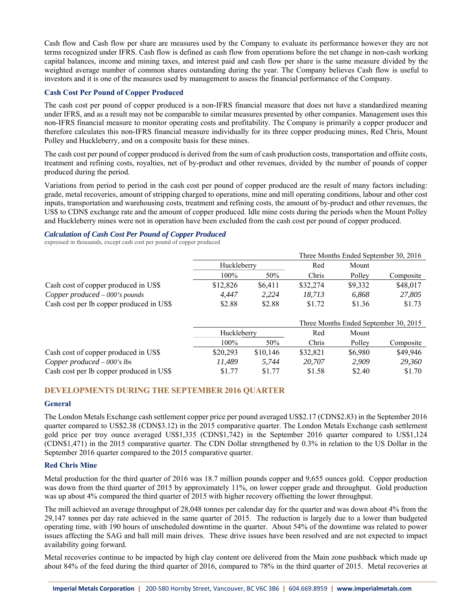Cash flow and Cash flow per share are measures used by the Company to evaluate its performance however they are not terms recognized under IFRS. Cash flow is defined as cash flow from operations before the net change in non-cash working capital balances, income and mining taxes, and interest paid and cash flow per share is the same measure divided by the weighted average number of common shares outstanding during the year. The Company believes Cash flow is useful to investors and it is one of the measures used by management to assess the financial performance of the Company.

### **Cash Cost Per Pound of Copper Produced**

The cash cost per pound of copper produced is a non-IFRS financial measure that does not have a standardized meaning under IFRS, and as a result may not be comparable to similar measures presented by other companies. Management uses this non-IFRS financial measure to monitor operating costs and profitability. The Company is primarily a copper producer and therefore calculates this non-IFRS financial measure individually for its three copper producing mines, Red Chris, Mount Polley and Huckleberry, and on a composite basis for these mines.

The cash cost per pound of copper produced is derived from the sum of cash production costs, transportation and offsite costs, treatment and refining costs, royalties, net of by-product and other revenues, divided by the number of pounds of copper produced during the period.

Variations from period to period in the cash cost per pound of copper produced are the result of many factors including: grade, metal recoveries, amount of stripping charged to operations, mine and mill operating conditions, labour and other cost inputs, transportation and warehousing costs, treatment and refining costs, the amount of by-product and other revenues, the US\$ to CDN\$ exchange rate and the amount of copper produced. Idle mine costs during the periods when the Mount Polley and Huckleberry mines were not in operation have been excluded from the cash cost per pound of copper produced.

### *Calculation of Cash Cost Per Pound of Copper Produced*

expressed in thousands, except cash cost per pound of copper produced

|                                          |             |          |                                       |         | Three Months Ended September 30, 2016 |  |
|------------------------------------------|-------------|----------|---------------------------------------|---------|---------------------------------------|--|
|                                          | Huckleberry |          | Red                                   | Mount   |                                       |  |
|                                          | 100%        | 50%      | Chris                                 | Polley  | Composite                             |  |
| Cash cost of copper produced in US\$     | \$12,826    | \$6,411  | \$32,274                              | \$9,332 | \$48,017                              |  |
| Copper produced $-000$ 's pounds         | 4.447       | 2.224    | 18.713                                | 6.868   | 27,805                                |  |
| Cash cost per lb copper produced in US\$ | \$2.88      | \$2.88   | \$1.72                                | \$1.36  | \$1.73                                |  |
|                                          |             |          | Three Months Ended September 30, 2015 |         |                                       |  |
|                                          | Huckleberry |          | Red                                   | Mount   |                                       |  |
|                                          | $100\%$     | 50%      | Chris                                 | Polley  | Composite                             |  |
| Cash cost of copper produced in US\$     | \$20,293    | \$10,146 | \$32,821                              | \$6,980 | \$49,946                              |  |
| Copper produced $-000$ 's lbs            | 11.489      | 5.744    | 20,707                                | 2.909   | 29,360                                |  |
| Cash cost per lb copper produced in US\$ | \$1.77      | \$1.77   | \$1.58                                | \$2.40  | \$1.70                                |  |

### **DEVELOPMENTS DURING THE SEPTEMBER 2016 QUARTER**

#### **General**

The London Metals Exchange cash settlement copper price per pound averaged US\$2.17 (CDN\$2.83) in the September 2016 quarter compared to US\$2.38 (CDN\$3.12) in the 2015 comparative quarter. The London Metals Exchange cash settlement gold price per troy ounce averaged US\$1,335 (CDN\$1,742) in the September 2016 quarter compared to US\$1,124 (CDN\$1,471) in the 2015 comparative quarter. The CDN Dollar strengthened by 0.3% in relation to the US Dollar in the September 2016 quarter compared to the 2015 comparative quarter.

#### **Red Chris Mine**

Metal production for the third quarter of 2016 was 18.7 million pounds copper and 9,655 ounces gold. Copper production was down from the third quarter of 2015 by approximately 11%, on lower copper grade and throughput. Gold production was up about 4% compared the third quarter of 2015 with higher recovery offsetting the lower throughput.

The mill achieved an average throughput of 28,048 tonnes per calendar day for the quarter and was down about 4% from the 29,147 tonnes per day rate achieved in the same quarter of 2015. The reduction is largely due to a lower than budgeted operating time, with 190 hours of unscheduled downtime in the quarter. About 54% of the downtime was related to power issues affecting the SAG and ball mill main drives. These drive issues have been resolved and are not expected to impact availability going forward.

Metal recoveries continue to be impacted by high clay content ore delivered from the Main zone pushback which made up about 84% of the feed during the third quarter of 2016, compared to 78% in the third quarter of 2015. Metal recoveries at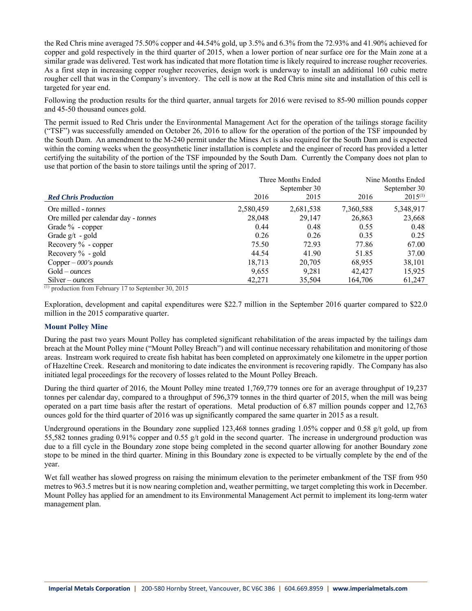the Red Chris mine averaged 75.50% copper and 44.54% gold, up 3.5% and 6.3% from the 72.93% and 41.90% achieved for copper and gold respectively in the third quarter of 2015, when a lower portion of near surface ore for the Main zone at a similar grade was delivered. Test work has indicated that more flotation time is likely required to increase rougher recoveries. As a first step in increasing copper rougher recoveries, design work is underway to install an additional 160 cubic metre rougher cell that was in the Company's inventory. The cell is now at the Red Chris mine site and installation of this cell is targeted for year end.

Following the production results for the third quarter, annual targets for 2016 were revised to 85-90 million pounds copper and 45-50 thousand ounces gold.

The permit issued to Red Chris under the Environmental Management Act for the operation of the tailings storage facility ("TSF") was successfully amended on October 26, 2016 to allow for the operation of the portion of the TSF impounded by the South Dam. An amendment to the M-240 permit under the Mines Act is also required for the South Dam and is expected within the coming weeks when the geosynthetic liner installation is complete and the engineer of record has provided a letter certifying the suitability of the portion of the TSF impounded by the South Dam. Currently the Company does not plan to use that portion of the basin to store tailings until the spring of 2017.

|                                      |           | Three Months Ended | Nine Months Ended |              |  |
|--------------------------------------|-----------|--------------------|-------------------|--------------|--|
|                                      |           | September 30       | September 30      |              |  |
| <b>Red Chris Production</b>          | 2016      | 2015               | 2016              | $2015^{(1)}$ |  |
| Ore milled - tonnes                  | 2,580,459 | 2,681,538          | 7,360,588         | 5,348,917    |  |
| Ore milled per calendar day - tonnes | 28,048    | 29.147             | 26,863            | 23,668       |  |
| Grade $\%$ - copper                  | 0.44      | 0.48               | 0.55              | 0.48         |  |
| Grade $g/t - gold$                   | 0.26      | 0.26               | 0.35              | 0.25         |  |
| Recovery $\%$ - copper               | 75.50     | 72.93              | 77.86             | 67.00        |  |
| Recovery $\%$ - gold                 | 44.54     | 41.90              | 51.85             | 37.00        |  |
| Copper $-000$ 's pounds              | 18,713    | 20,705             | 68,955            | 38,101       |  |
| $Gold-ounces$                        | 9,655     | 9,281              | 42,427            | 15,925       |  |
| $Silver-ounces$                      | 42,271    | 35,504             | 164,706           | 61,247       |  |

 $(1)$  production from February 17 to September 30, 2015

Exploration, development and capital expenditures were \$22.7 million in the September 2016 quarter compared to \$22.0 million in the 2015 comparative quarter.

#### **Mount Polley Mine**

During the past two years Mount Polley has completed significant rehabilitation of the areas impacted by the tailings dam breach at the Mount Polley mine ("Mount Polley Breach") and will continue necessary rehabilitation and monitoring of those areas. Instream work required to create fish habitat has been completed on approximately one kilometre in the upper portion of Hazeltine Creek. Research and monitoring to date indicates the environment is recovering rapidly. The Company has also initiated legal proceedings for the recovery of losses related to the Mount Polley Breach.

During the third quarter of 2016, the Mount Polley mine treated 1,769,779 tonnes ore for an average throughput of 19,237 tonnes per calendar day, compared to a throughput of 596,379 tonnes in the third quarter of 2015, when the mill was being operated on a part time basis after the restart of operations. Metal production of 6.87 million pounds copper and 12,763 ounces gold for the third quarter of 2016 was up significantly compared the same quarter in 2015 as a result.

Underground operations in the Boundary zone supplied 123,468 tonnes grading 1.05% copper and 0.58 g/t gold, up from 55,582 tonnes grading 0.91% copper and 0.55 g/t gold in the second quarter. The increase in underground production was due to a fill cycle in the Boundary zone stope being completed in the second quarter allowing for another Boundary zone stope to be mined in the third quarter. Mining in this Boundary zone is expected to be virtually complete by the end of the year.

Wet fall weather has slowed progress on raising the minimum elevation to the perimeter embankment of the TSF from 950 metres to 963.5 metres but it is now nearing completion and, weather permitting, we target completing this work in December. Mount Polley has applied for an amendment to its Environmental Management Act permit to implement its long-term water management plan.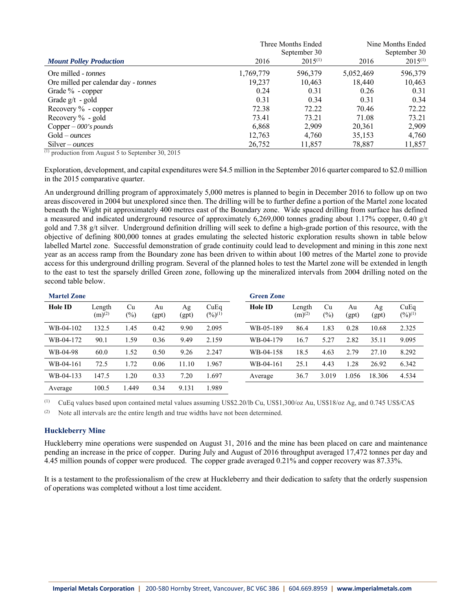|                                      |           | Three Months Ended | Nine Months Ended |              |  |
|--------------------------------------|-----------|--------------------|-------------------|--------------|--|
|                                      |           | September 30       | September 30      |              |  |
| <b>Mount Polley Production</b>       | 2016      | $2015^{(1)}$       | 2016              | $2015^{(1)}$ |  |
| Ore milled - tonnes                  | 1,769,779 | 596,379            | 5,052,469         | 596,379      |  |
| Ore milled per calendar day - tonnes | 19,237    | 10,463             | 18.440            | 10,463       |  |
| Grade % - copper                     | 0.24      | 0.31               | 0.26              | 0.31         |  |
| Grade $g/t - gold$                   | 0.31      | 0.34               | 0.31              | 0.34         |  |
| Recovery $\%$ - copper               | 72.38     | 72.22              | 70.46             | 72.22        |  |
| Recovery $\%$ - gold                 | 73.41     | 73.21              | 71.08             | 73.21        |  |
| Copper $-$ 000's pounds              | 6,868     | 2,909              | 20,361            | 2,909        |  |
| $Gold-ounces$                        | 12,763    | 4,760              | 35,153            | 4,760        |  |
| $Silver-ounces$                      | 26,752    | 11,857             | 78,887            | 11,857       |  |

 $(1)$  production from August 5 to September 30, 2015

Exploration, development, and capital expenditures were \$4.5 million in the September 2016 quarter compared to \$2.0 million in the 2015 comparative quarter.

An underground drilling program of approximately 5,000 metres is planned to begin in December 2016 to follow up on two areas discovered in 2004 but unexplored since then. The drilling will be to further define a portion of the Martel zone located beneath the Wight pit approximately 400 metres east of the Boundary zone. Wide spaced drilling from surface has defined a measured and indicated underground resource of approximately 6,269,000 tonnes grading about 1.17% copper, 0.40  $g/t$ gold and 7.38 g/t silver. Underground definition drilling will seek to define a high-grade portion of this resource, with the objective of defining 800,000 tonnes at grades emulating the selected historic exploration results shown in table below labelled Martel zone. Successful demonstration of grade continuity could lead to development and mining in this zone next year as an access ramp from the Boundary zone has been driven to within about 100 metres of the Martel zone to provide access for this underground drilling program. Several of the planned holes to test the Martel zone will be extended in length to the east to test the sparsely drilled Green zone, following up the mineralized intervals from 2004 drilling noted on the second table below.

| <b>Martel Zone</b> |                       |              |             |             |                               | <b>Green Zone</b> |                       |              |             |             |                               |
|--------------------|-----------------------|--------------|-------------|-------------|-------------------------------|-------------------|-----------------------|--------------|-------------|-------------|-------------------------------|
| <b>Hole ID</b>     | Length<br>$(m)^{(2)}$ | Cu<br>$(\%)$ | Au<br>(gpt) | Ag<br>(gpt) | CuEq<br>$(\frac{9}{6})^{(1)}$ | <b>Hole ID</b>    | Length<br>$(m)^{(2)}$ | Cu<br>$(\%)$ | Au<br>(gpt) | Ag<br>(gpt) | CuEq<br>$(\frac{9}{6})^{(1)}$ |
| WB-04-102          | 132.5                 | 1.45         | 0.42        | 9.90        | 2.095                         | WB-05-189         | 86.4                  | 1.83         | 0.28        | 10.68       | 2.325                         |
| WB-04-172          | 90.1                  | 1.59         | 0.36        | 9.49        | 2.159                         | WB-04-179         | 16.7                  | 5.27         | 2.82        | 35.11       | 9.095                         |
| WB-04-98           | 60.0                  | 1.52         | 0.50        | 9.26        | 2.247                         | WB-04-158         | 18.5                  | 4.63         | 2.79        | 27.10       | 8.292                         |
| WB-04-161          | 72.5                  | 1.72         | 0.06        | 11.10       | 1.967                         | WB-04-161         | 25.1                  | 4.43         | 1.28        | 26.92       | 6.342                         |
| WB-04-133          | 147.5                 | 1.20         | 0.33        | 7.20        | 1.697                         | Average           | 36.7                  | 3.019        | .056        | 18.306      | 4.534                         |
| Average            | 100.5                 | .449         | 0.34        | 9.131       | 1.989                         |                   |                       |              |             |             |                               |

(1) CuEq values based upon contained metal values assuming US\$2.20/lb Cu, US\$1,300/oz Au, US\$18/oz Ag, and 0.745 US\$/CA\$

 $(2)$  Note all intervals are the entire length and true widths have not been determined.

#### **Huckleberry Mine**

Huckleberry mine operations were suspended on August 31, 2016 and the mine has been placed on care and maintenance pending an increase in the price of copper. During July and August of 2016 throughput averaged 17,472 tonnes per day and 4.45 million pounds of copper were produced. The copper grade averaged 0.21% and copper recovery was 87.33%.

It is a testament to the professionalism of the crew at Huckleberry and their dedication to safety that the orderly suspension of operations was completed without a lost time accident.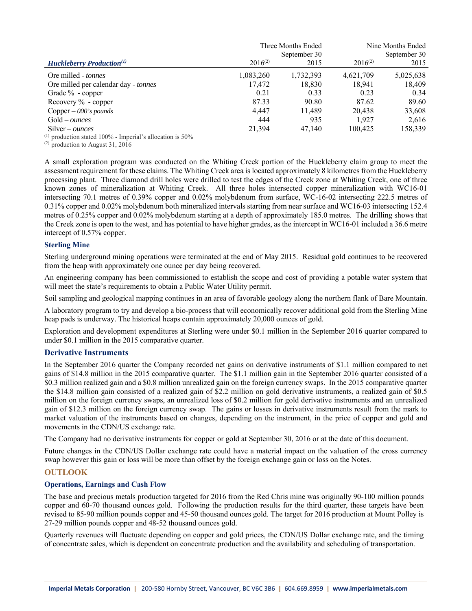|                                        |              | Three Months Ended | Nine Months Ended |           |  |
|----------------------------------------|--------------|--------------------|-------------------|-----------|--|
|                                        |              | September 30       | September 30      |           |  |
| <b>Huckleberry Production</b> $^{(1)}$ | $2016^{(2)}$ | 2015               | $2016^{(2)}$      | 2015      |  |
| Ore milled - tonnes                    | 1,083,260    | 1,732,393          | 4,621,709         | 5,025,638 |  |
| Ore milled per calendar day - tonnes   | 17,472       | 18,830             | 18,941            | 18,409    |  |
| Grade $\%$ - copper                    | 0.21         | 0.33               | 0.23              | 0.34      |  |
| Recovery $\%$ - copper                 | 87.33        | 90.80              | 87.62             | 89.60     |  |
| Copper $-$ 000's pounds                | 4.447        | 11.489             | 20.438            | 33,608    |  |
| $Gold-ounces$                          | 444          | 935                | 1.927             | 2,616     |  |
| $Silver-ounces$                        | 21,394       | 47,140             | 100.425           | 158,339   |  |

 $(1)$  production stated 100% - Imperial's allocation is 50%

 $(2)$  production to August 31, 2016

A small exploration program was conducted on the Whiting Creek portion of the Huckleberry claim group to meet the assessment requirement for these claims. The Whiting Creek area is located approximately 8 kilometres from the Huckleberry processing plant. Three diamond drill holes were drilled to test the edges of the Creek zone at Whiting Creek, one of three known zones of mineralization at Whiting Creek. All three holes intersected copper mineralization with WC16-01 intersecting 70.1 metres of 0.39% copper and 0.02% molybdenum from surface, WC-16-02 intersecting 222.5 metres of 0.31% copper and 0.02% molybdenum both mineralized intervals starting from near surface and WC16-03 intersecting 152.4 metres of 0.25% copper and 0.02% molybdenum starting at a depth of approximately 185.0 metres. The drilling shows that the Creek zone is open to the west, and has potential to have higher grades, as the intercept in WC16-01 included a 36.6 metre intercept of 0.57% copper.

#### **Sterling Mine**

Sterling underground mining operations were terminated at the end of May 2015. Residual gold continues to be recovered from the heap with approximately one ounce per day being recovered.

An engineering company has been commissioned to establish the scope and cost of providing a potable water system that will meet the state's requirements to obtain a Public Water Utility permit.

Soil sampling and geological mapping continues in an area of favorable geology along the northern flank of Bare Mountain.

A laboratory program to try and develop a bio-process that will economically recover additional gold from the Sterling Mine heap pads is underway. The historical heaps contain approximately 20,000 ounces of gold.

Exploration and development expenditures at Sterling were under \$0.1 million in the September 2016 quarter compared to under \$0.1 million in the 2015 comparative quarter.

#### **Derivative Instruments**

In the September 2016 quarter the Company recorded net gains on derivative instruments of \$1.1 million compared to net gains of \$14.8 million in the 2015 comparative quarter. The \$1.1 million gain in the September 2016 quarter consisted of a \$0.3 million realized gain and a \$0.8 million unrealized gain on the foreign currency swaps. In the 2015 comparative quarter the \$14.8 million gain consisted of a realized gain of \$2.2 million on gold derivative instruments, a realized gain of \$0.5 million on the foreign currency swaps, an unrealized loss of \$0.2 million for gold derivative instruments and an unrealized gain of \$12.3 million on the foreign currency swap. The gains or losses in derivative instruments result from the mark to market valuation of the instruments based on changes, depending on the instrument, in the price of copper and gold and movements in the CDN/US exchange rate.

The Company had no derivative instruments for copper or gold at September 30, 2016 or at the date of this document.

Future changes in the CDN/US Dollar exchange rate could have a material impact on the valuation of the cross currency swap however this gain or loss will be more than offset by the foreign exchange gain or loss on the Notes.

### **OUTLOOK**

#### **Operations, Earnings and Cash Flow**

The base and precious metals production targeted for 2016 from the Red Chris mine was originally 90-100 million pounds copper and 60-70 thousand ounces gold. Following the production results for the third quarter, these targets have been revised to 85-90 million pounds copper and 45-50 thousand ounces gold. The target for 2016 production at Mount Polley is 27-29 million pounds copper and 48-52 thousand ounces gold.

Quarterly revenues will fluctuate depending on copper and gold prices, the CDN/US Dollar exchange rate, and the timing of concentrate sales, which is dependent on concentrate production and the availability and scheduling of transportation.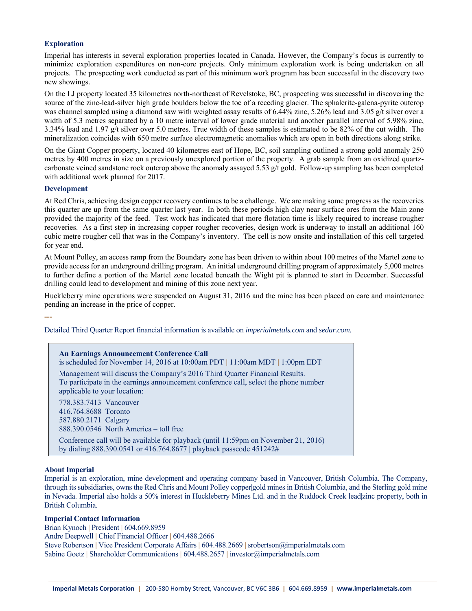### **Exploration**

Imperial has interests in several exploration properties located in Canada. However, the Company's focus is currently to minimize exploration expenditures on non-core projects. Only minimum exploration work is being undertaken on all projects. The prospecting work conducted as part of this minimum work program has been successful in the discovery two new showings.

On the LJ property located 35 kilometres north-northeast of Revelstoke, BC, prospecting was successful in discovering the source of the zinc-lead-silver high grade boulders below the toe of a receding glacier. The sphalerite-galena-pyrite outcrop was channel sampled using a diamond saw with weighted assay results of 6.44% zinc, 5.26% lead and 3.05 g/t silver over a width of 5.3 metres separated by a 10 metre interval of lower grade material and another parallel interval of 5.98% zinc, 3.34% lead and 1.97 g/t silver over 5.0 metres. True width of these samples is estimated to be 82% of the cut width. The mineralization coincides with 650 metre surface electromagnetic anomalies which are open in both directions along strike.

On the Giant Copper property, located 40 kilometres east of Hope, BC, soil sampling outlined a strong gold anomaly 250 metres by 400 metres in size on a previously unexplored portion of the property. A grab sample from an oxidized quartzcarbonate veined sandstone rock outcrop above the anomaly assayed 5.53 g/t gold. Follow-up sampling has been completed with additional work planned for 2017.

#### **Development**

**---** 

At Red Chris, achieving design copper recovery continues to be a challenge. We are making some progress as the recoveries this quarter are up from the same quarter last year. In both these periods high clay near surface ores from the Main zone provided the majority of the feed. Test work has indicated that more flotation time is likely required to increase rougher recoveries. As a first step in increasing copper rougher recoveries, design work is underway to install an additional 160 cubic metre rougher cell that was in the Company's inventory. The cell is now onsite and installation of this cell targeted for year end.

At Mount Polley, an access ramp from the Boundary zone has been driven to within about 100 metres of the Martel zone to provide access for an underground drilling program. An initial underground drilling program of approximately 5,000 metres to further define a portion of the Martel zone located beneath the Wight pit is planned to start in December. Successful drilling could lead to development and mining of this zone next year.

Huckleberry mine operations were suspended on August 31, 2016 and the mine has been placed on care and maintenance pending an increase in the price of copper.

Detailed Third Quarter Report financial information is available on *imperialmetals.com* and *sedar.com.* 

| <b>An Earnings Announcement Conference Call</b><br>is scheduled for November 14, 2016 at 10:00am PDT   11:00am MDT   1:00pm EDT                                                                     |
|-----------------------------------------------------------------------------------------------------------------------------------------------------------------------------------------------------|
| Management will discuss the Company's 2016 Third Quarter Financial Results.<br>To participate in the earnings announcement conference call, select the phone number<br>applicable to your location: |
| 778.383.7413 Vancouver<br>416.764.8688 Toronto<br>587.880.2171 Calgary<br>$888.390.0546$ North America – toll free                                                                                  |
| Conference call will be available for playback (until 11:59pm on November 21, 2016)<br>by dialing 888.390.0541 or 416.764.8677   playback passcode 451242#                                          |

#### **About Imperial**

Imperial is an exploration, mine development and operating company based in Vancouver, British Columbia. The Company, through its subsidiaries, owns the Red Chris and Mount Polley copper|gold mines in British Columbia, and the Sterling gold mine in Nevada. Imperial also holds a 50% interest in Huckleberry Mines Ltd. and in the Ruddock Creek lead|zinc property, both in British Columbia.

#### **Imperial Contact Information**

Brian Kynoch **|** President **|** 604.669.8959 Andre Deepwell **|** Chief Financial Officer **|** 604.488.2666 Steve Robertson **|** Vice President Corporate Affairs **|** 604.488.2669 **|** srobertson@imperialmetals.com Sabine Goetz **|** Shareholder Communications **|** 604.488.2657 **|** investor@imperialmetals.com